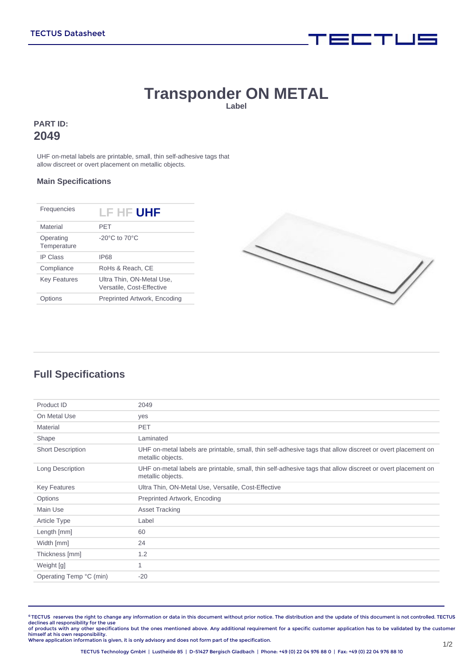# **Transponder ON METAL**

**Label**

### **PART ID: 2049**

UHF on-metal labels are printable, small, thin self-adhesive tags that allow discreet or overt placement on metallic objects.

#### **Main Specifications**

| Material<br>PFT<br>$-20^{\circ}$ C to $70^{\circ}$ C<br>Operating<br>Temperature<br><b>IP Class</b><br>IP68<br>Compliance<br>RoHs & Reach, CE |
|-----------------------------------------------------------------------------------------------------------------------------------------------|
|                                                                                                                                               |
|                                                                                                                                               |
|                                                                                                                                               |
|                                                                                                                                               |
| Ultra Thin, ON-Metal Use,<br><b>Key Features</b><br>Versatile, Cost-Effective                                                                 |
| Preprinted Artwork, Encoding<br>ons                                                                                                           |



i = mj i U =

# **Full Specifications**

| Product ID               | 2049                                                                                                                             |
|--------------------------|----------------------------------------------------------------------------------------------------------------------------------|
| On Metal Use             | yes                                                                                                                              |
| Material                 | <b>PET</b>                                                                                                                       |
| Shape                    | Laminated                                                                                                                        |
| <b>Short Description</b> | UHF on-metal labels are printable, small, thin self-adhesive tags that allow discreet or overt placement on<br>metallic objects. |
| Long Description         | UHF on-metal labels are printable, small, thin self-adhesive tags that allow discreet or overt placement on<br>metallic objects. |
| <b>Key Features</b>      | Ultra Thin, ON-Metal Use, Versatile, Cost-Effective                                                                              |
| Options                  | Preprinted Artwork, Encoding                                                                                                     |
| Main Use                 | <b>Asset Tracking</b>                                                                                                            |
| Article Type             | Label                                                                                                                            |
| Length [mm]              | 60                                                                                                                               |
| Width [mm]               | 24                                                                                                                               |
| Thickness [mm]           | 1.2                                                                                                                              |
| Weight [g]               | 1                                                                                                                                |
| Operating Temp °C (min)  | $-20$                                                                                                                            |
|                          |                                                                                                                                  |

**©** TECTUS reserves the right to change any information or data in this document without prior notice. The distribution and the update of this document is not controlled. TECTUS declines all responsibility for the use<br>of products with any other specifications but the ones mentioned above. Any additional requirement for a specific customer application has to be validated by the customer

himself at his own responsibility. Where application information is given, it is only advisory and does not form part of the specification.